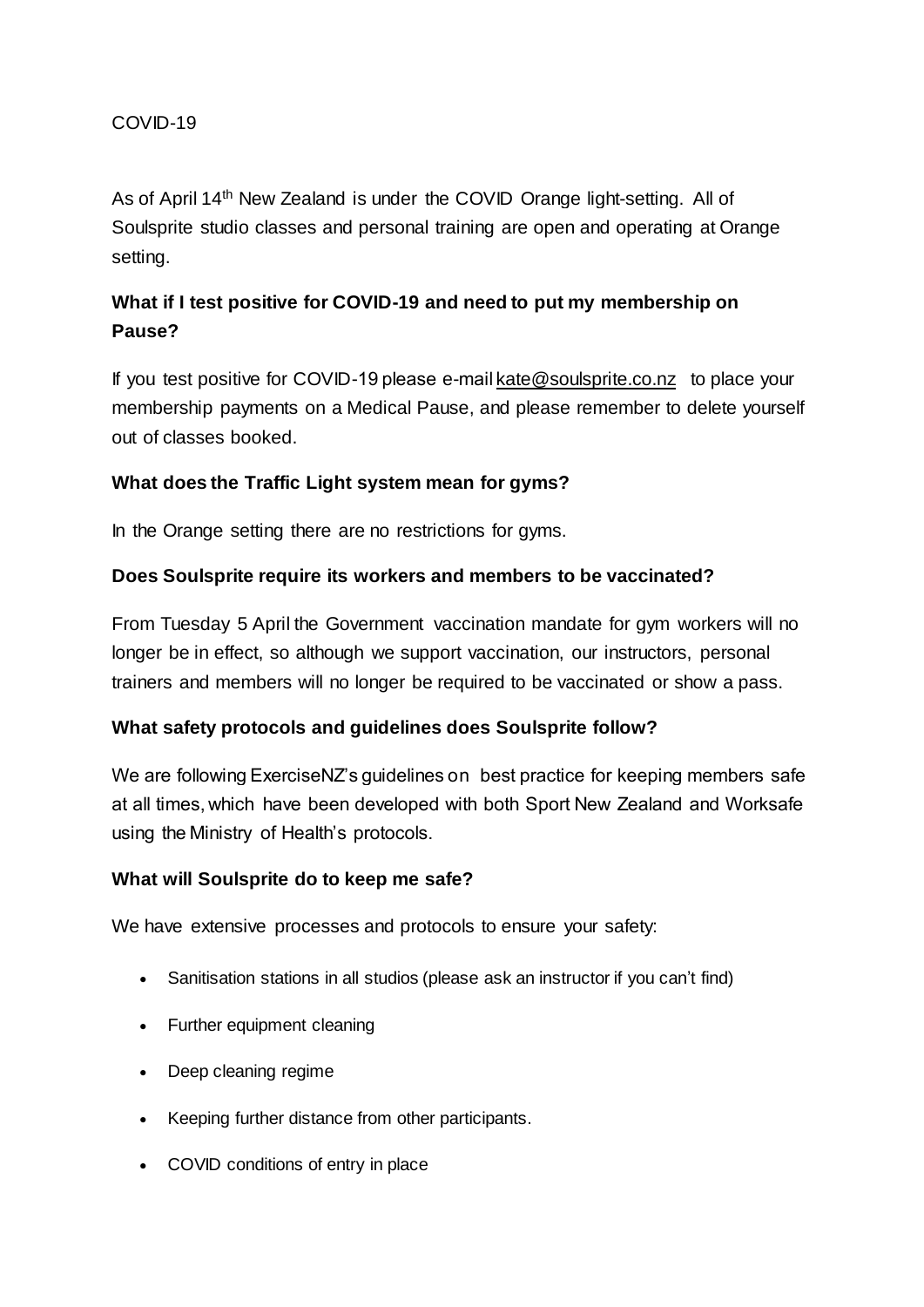## COVID-19

As of April 14th New Zealand is under the COVID Orange light-setting. All of Soulsprite studio classes and personal training are open and operating at Orange setting.

# **What if I test positive for COVID-19 and need to put my membership on Pause?**

If you test positive for COVID-19 please e-mai[l kate@soulsprite.co.nz](mailto:kate@soulsprite.co.nz) to place your membership payments on a Medical Pause, and please remember to delete yourself out of classes booked.

## **What does the Traffic Light system mean for gyms?**

In the Orange setting there are no restrictions for gyms.

## **Does Soulsprite require its workers and members to be vaccinated?**

From Tuesday 5 April the Government vaccination mandate for gym workers will no longer be in effect, so although we support vaccination, our instructors, personal trainers and members will no longer be required to be vaccinated or show a pass.

## **What safety protocols and guidelines does Soulsprite follow?**

We are following ExerciseNZ's guidelines on best practice for keeping members safe at all times, which have been developed with both Sport New Zealand and Worksafe using the Ministry of Health's protocols.

#### **What will Soulsprite do to keep me safe?**

We have extensive processes and protocols to ensure your safety:

- Sanitisation stations in all studios (please ask an instructor if you can't find)
- Further equipment cleaning
- Deep cleaning regime
- Keeping further distance from other participants.
- COVID conditions of entry in place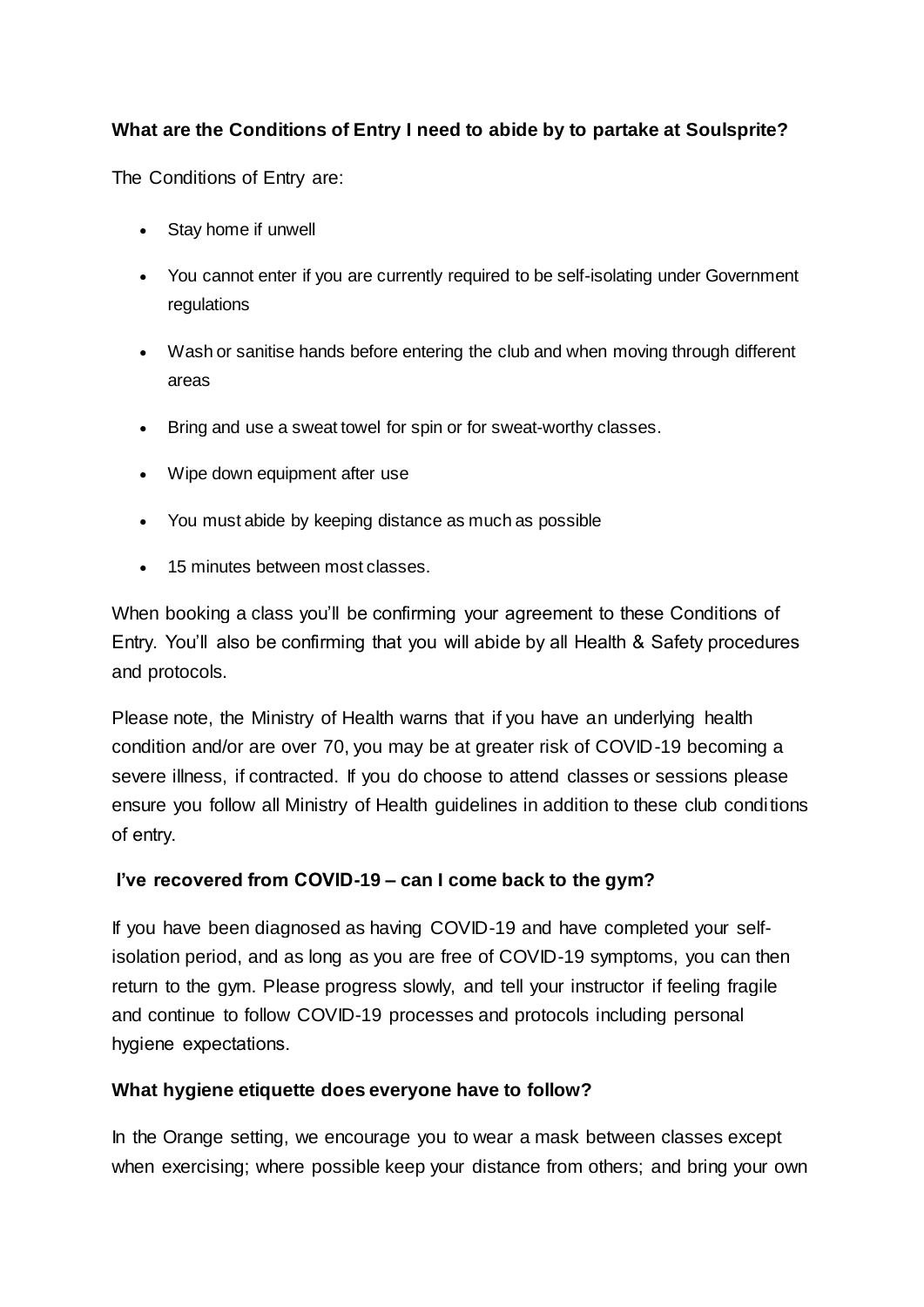# **What are the Conditions of Entry I need to abide by to partake at Soulsprite?**

The Conditions of Entry are:

- Stay home if unwell
- You cannot enter if you are currently required to be self-isolating under Government regulations
- Wash or sanitise hands before entering the club and when moving through different areas
- Bring and use a sweat towel for spin or for sweat-worthy classes.
- Wipe down equipment after use
- You must abide by keeping distance as much as possible
- 15 minutes between most classes.

When booking a class you'll be confirming your agreement to these Conditions of Entry. You'll also be confirming that you will abide by all Health & Safety procedures and protocols.

Please note, the Ministry of Health warns that if you have an underlying health condition and/or are over 70, you may be at greater risk of COVID-19 becoming a severe illness, if contracted. If you do choose to attend classes or sessions please ensure you follow all Ministry of Health guidelines in addition to these club conditions of entry. 

## **I've recovered from COVID-19 – can I come back to the gym?**

If you have been diagnosed as having COVID-19 and have completed your selfisolation period, and as long as you are free of COVID-19 symptoms, you can then return to the gym. Please progress slowly, and tell your instructor if feeling fragile and continue to follow COVID-19 processes and protocols including personal hygiene expectations. 

## **What hygiene etiquette does everyone have to follow?**

In the Orange setting, we encourage you to wear a mask between classes except when exercising; where possible keep your distance from others; and bring your own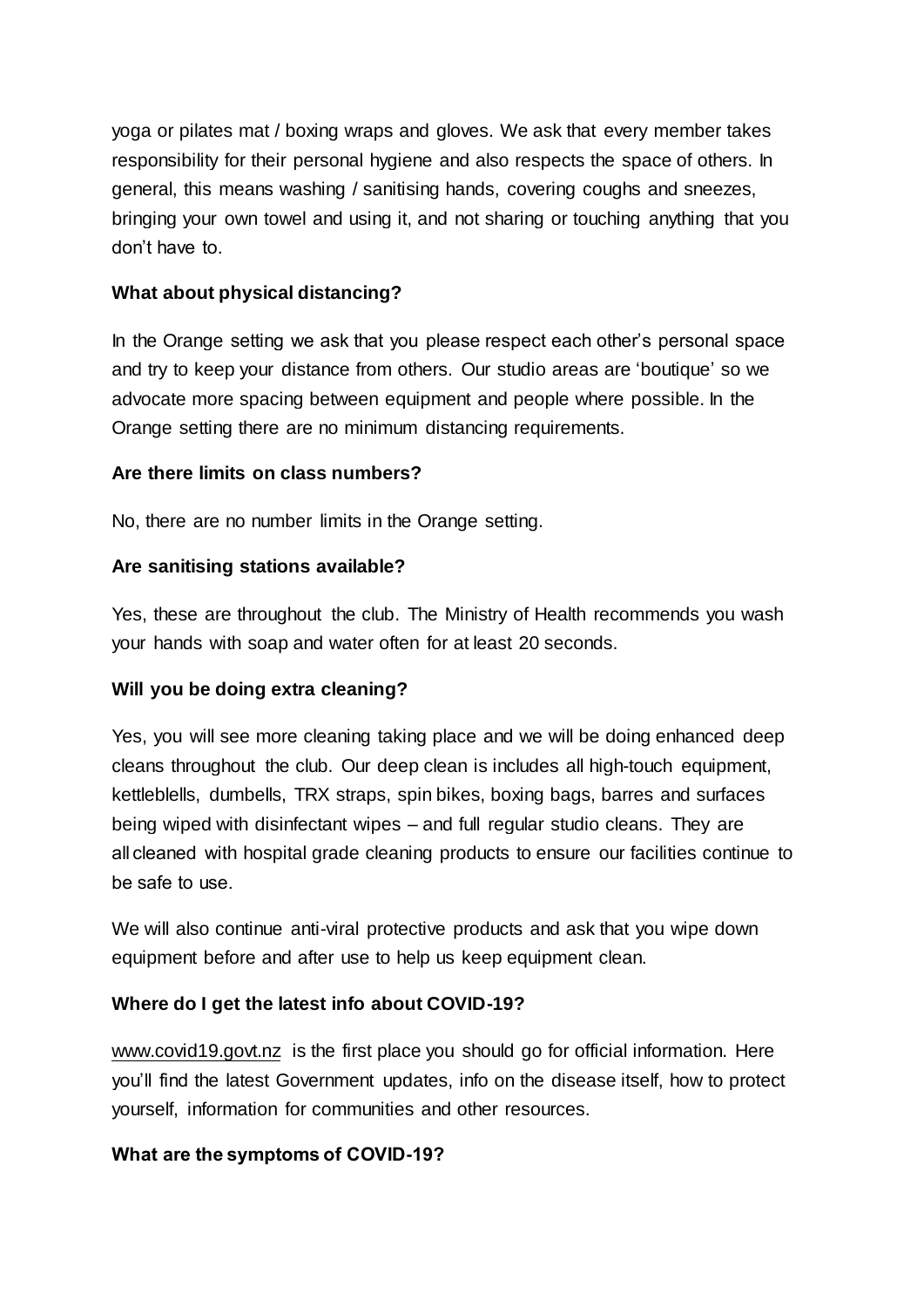yoga or pilates mat / boxing wraps and gloves. We ask that every member takes responsibility for their personal hygiene and also respects the space of others. In general, this means washing / sanitising hands, covering coughs and sneezes, bringing your own towel and using it, and not sharing or touching anything that you don't have to.

# **What about physical distancing?**

In the Orange setting we ask that you please respect each other's personal space and try to keep your distance from others. Our studio areas are 'boutique' so we advocate more spacing between equipment and people where possible. In the Orange setting there are no minimum distancing requirements.

## **Are there limits on class numbers?**

No, there are no number limits in the Orange setting.

## **Are sanitising stations available?**

Yes, these are throughout the club. The Ministry of Health recommends you wash your hands with soap and water often for at least 20 seconds.

## **Will you be doing extra cleaning?**

Yes, you will see more cleaning taking place and we will be doing enhanced deep cleans throughout the club. Our deep clean is includes all high-touch equipment, kettleblells, dumbells, TRX straps, spin bikes, boxing bags, barres and surfaces being wiped with disinfectant wipes – and full regular studio cleans. They are all cleaned with hospital grade cleaning products to ensure our facilities continue to be safe to use. 

We will also continue anti-viral protective products and ask that you wipe down equipment before and after use to help us keep equipment clean.

## **Where do I get the latest info about COVID-19?**

[www.covid19.govt.nz](https://covid19.govt.nz/) is the first place you should go for official information. Here you'll find the latest Government updates, info on the disease itself, how to protect yourself, information for communities and other resources.

#### **What are the symptoms of COVID-19?**